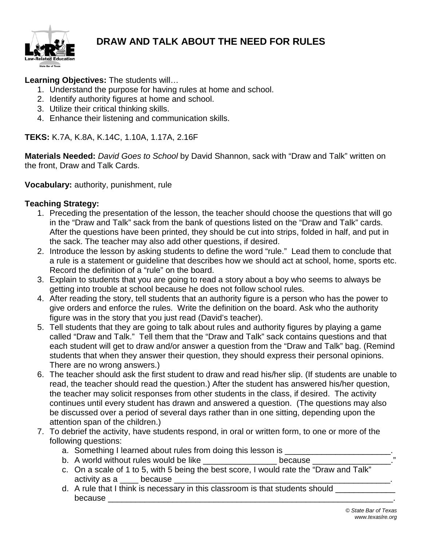

# **DRAW AND TALK ABOUT THE NEED FOR RULES**

#### **Learning Objectives:** The students will…

- 1. Understand the purpose for having rules at home and school.
- 2. Identify authority figures at home and school.
- 3. Utilize their critical thinking skills.
- 4. Enhance their listening and communication skills.

**TEKS:** K.7A, K.8A, K.14C, 1.10A, 1.17A, 2.16F

**Materials Needed:** *David Goes to School* by David Shannon, sack with "Draw and Talk" written on the front, Draw and Talk Cards.

**Vocabulary:** authority, punishment, rule

## **Teaching Strategy:**

- 1. Preceding the presentation of the lesson, the teacher should choose the questions that will go in the "Draw and Talk" sack from the bank of questions listed on the "Draw and Talk" cards. After the questions have been printed, they should be cut into strips, folded in half, and put in the sack. The teacher may also add other questions, if desired.
- 2. Introduce the lesson by asking students to define the word "rule." Lead them to conclude that a rule is a statement or guideline that describes how we should act at school, home, sports etc. Record the definition of a "rule" on the board.
- 3. Explain to students that you are going to read a story about a boy who seems to always be getting into trouble at school because he does not follow school rules.
- 4. After reading the story, tell students that an authority figure is a person who has the power to give orders and enforce the rules. Write the definition on the board. Ask who the authority figure was in the story that you just read (David's teacher).
- 5. Tell students that they are going to talk about rules and authority figures by playing a game called "Draw and Talk." Tell them that the "Draw and Talk" sack contains questions and that each student will get to draw and/or answer a question from the "Draw and Talk" bag. (Remind students that when they answer their question, they should express their personal opinions. There are no wrong answers.)
- 6. The teacher should ask the first student to draw and read his/her slip. (If students are unable to read, the teacher should read the question.) After the student has answered his/her question, the teacher may solicit responses from other students in the class, if desired. The activity continues until every student has drawn and answered a question. (The questions may also be discussed over a period of several days rather than in one sitting, depending upon the attention span of the children.)
- 7. To debrief the activity, have students respond, in oral or written form, to one or more of the following questions:
	- a. Something I learned about rules from doing this lesson is
	- b. A world without rules would be like example of the cause
	- c. On a scale of 1 to 5, with 5 being the best score, I would rate the "Draw and Talk" activity as a \_\_\_\_ because \_\_\_\_\_\_\_\_\_\_\_\_\_\_\_\_\_\_\_\_\_\_\_\_\_\_\_\_\_\_\_\_\_\_\_\_\_\_\_\_\_\_\_\_\_\_\_.
	- d. A rule that I think is necessary in this classroom is that students should because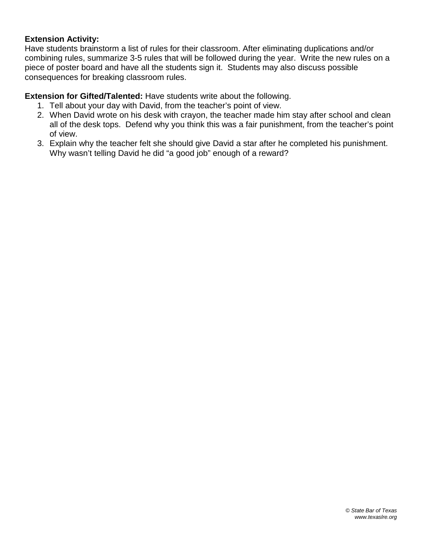#### **Extension Activity:**

Have students brainstorm a list of rules for their classroom. After eliminating duplications and/or combining rules, summarize 3-5 rules that will be followed during the year. Write the new rules on a piece of poster board and have all the students sign it. Students may also discuss possible consequences for breaking classroom rules.

#### **Extension for Gifted/Talented:** Have students write about the following.

- 1. Tell about your day with David, from the teacher's point of view.
- 2. When David wrote on his desk with crayon, the teacher made him stay after school and clean all of the desk tops. Defend why you think this was a fair punishment, from the teacher's point of view.
- 3. Explain why the teacher felt she should give David a star after he completed his punishment. Why wasn't telling David he did "a good job" enough of a reward?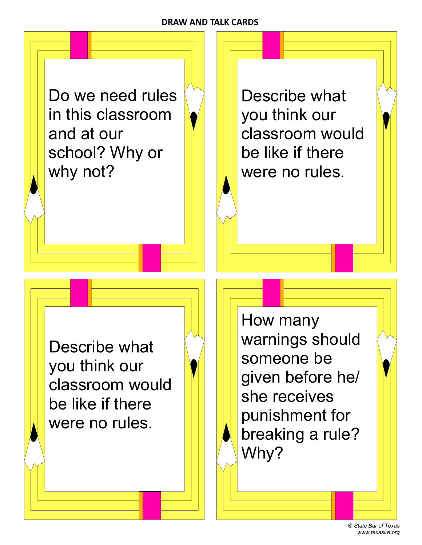## **DRAW AND TALK CARDS**

Do we need rules in this classroom and at our school? Why or why not?

Describe what you think our classroom would be like if there were no rules.

Describe what you think our classroom would be like if there were no rules.

How many warnings should someone be given before he/ she receives punishment for breaking a rule? Why?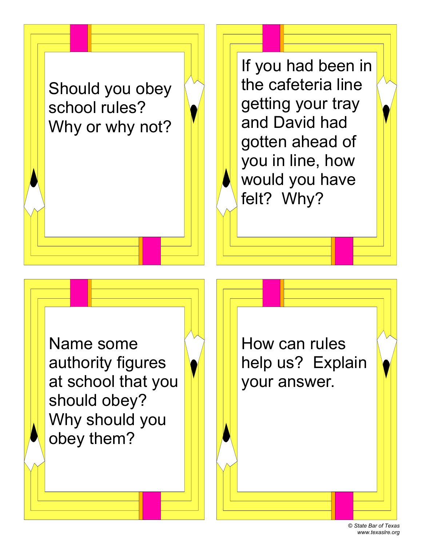

If you had been in the cafeteria line getting your tray and David had gotten ahead of you in line, how would you have felt? Why?

Name some authority figures at school that you should obey? Why should you obey them?

How can rules help us? Explain your answer.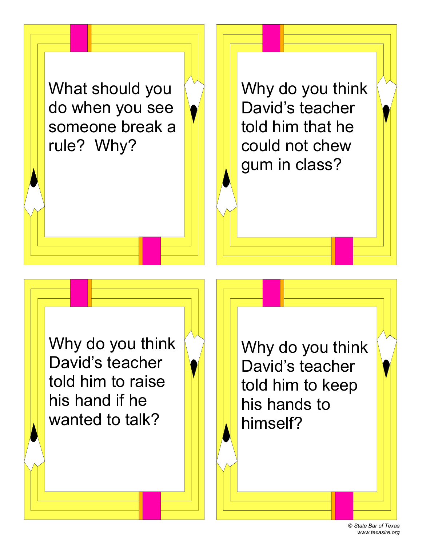What should you do when you see someone break a rule? Why?

Why do you think David's teacher told him that he could not chew gum in class?

Why do you think David's teacher told him to raise his hand if he wanted to talk?

Why do you think David's teacher told him to keep his hands to himself?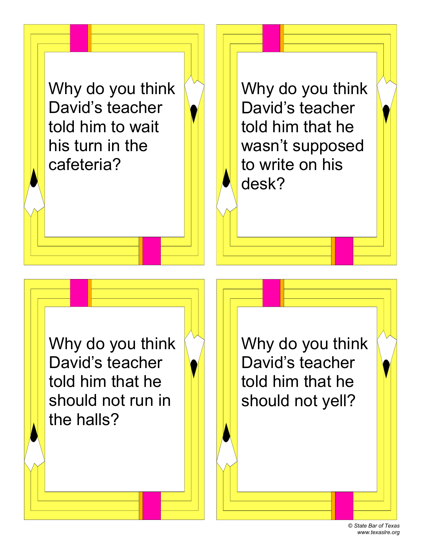Why do you think David's teacher told him to wait his turn in the cafeteria?

Why do you think David's teacher told him that he wasn't supposed to write on his desk?

Why do you think David's teacher told him that he should not run in the halls?

Why do you think David's teacher told him that he should not yell?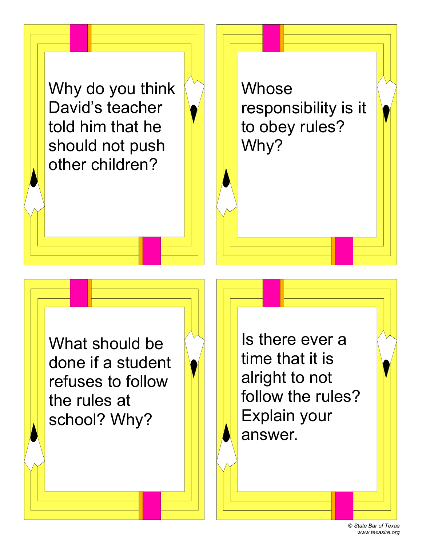Why do you think David's teacher told him that he should not push other children?

**Whose** responsibility is it to obey rules? Why?

What should be done if a student refuses to follow the rules at school? Why?

Is there ever a time that it is alright to not follow the rules? Explain your answer.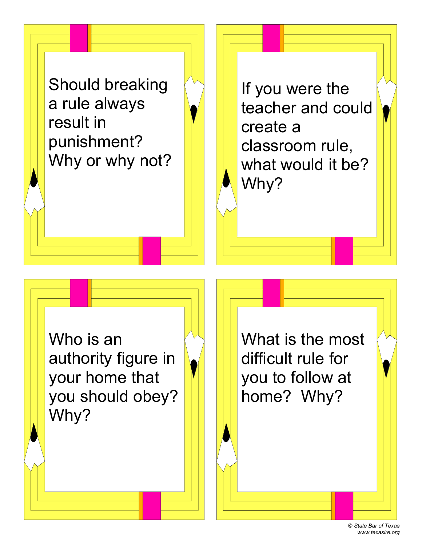Should breaking a rule always result in punishment? Why or why not?

If you were the teacher and could create a classroom rule, what would it be? Why?

Who is an authority figure in your home that you should obey? Why?

What is the most difficult rule for you to follow at home? Why?